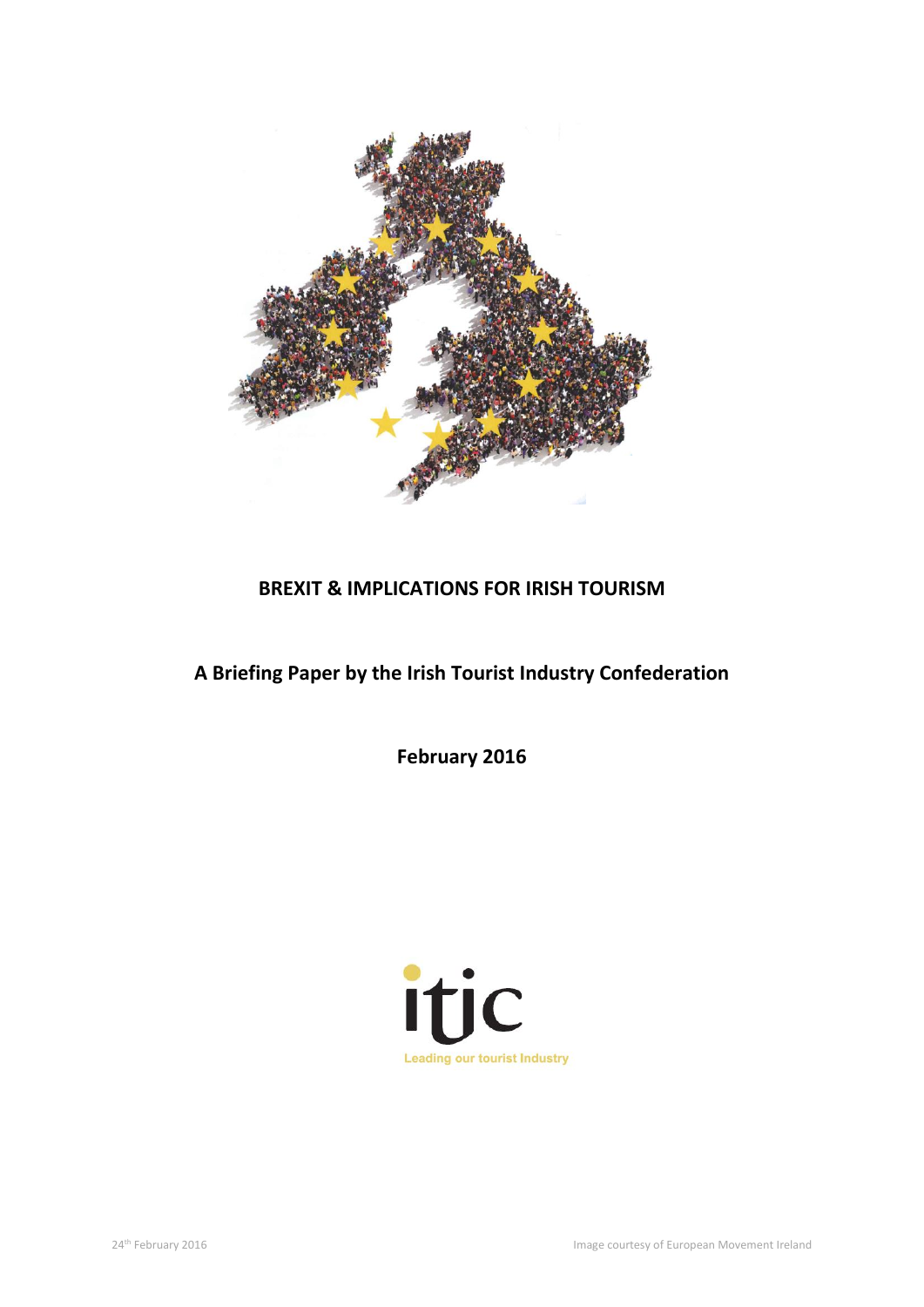

# **BREXIT & IMPLICATIONS FOR IRISH TOURISM**

# **A Briefing Paper by the Irish Tourist Industry Confederation**

**February 2016**

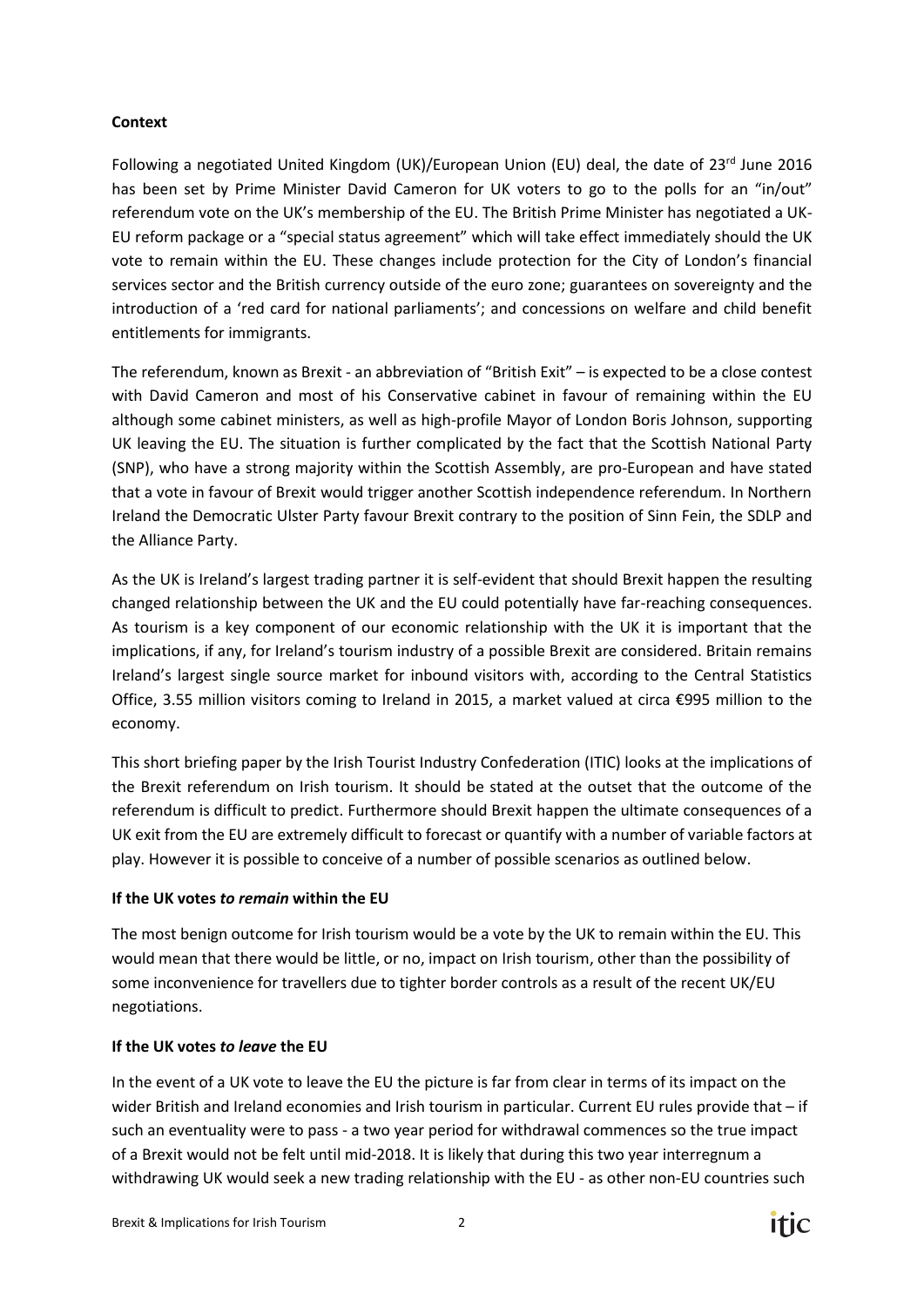#### **Context**

Following a negotiated United Kingdom (UK)/European Union (EU) deal, the date of  $23^{rd}$  June 2016 has been set by Prime Minister David Cameron for UK voters to go to the polls for an "in/out" referendum vote on the UK's membership of the EU. The British Prime Minister has negotiated a UK-EU reform package or a "special status agreement" which will take effect immediately should the UK vote to remain within the EU. These changes include protection for the City of London's financial services sector and the British currency outside of the euro zone; guarantees on sovereignty and the introduction of a 'red card for national parliaments'; and concessions on welfare and child benefit entitlements for immigrants.

The referendum, known as Brexit - an abbreviation of "British Exit" – is expected to be a close contest with David Cameron and most of his Conservative cabinet in favour of remaining within the EU although some cabinet ministers, as well as high-profile Mayor of London Boris Johnson, supporting UK leaving the EU. The situation is further complicated by the fact that the Scottish National Party (SNP), who have a strong majority within the Scottish Assembly, are pro-European and have stated that a vote in favour of Brexit would trigger another Scottish independence referendum. In Northern Ireland the Democratic Ulster Party favour Brexit contrary to the position of Sinn Fein, the SDLP and the Alliance Party.

As the UK is Ireland's largest trading partner it is self-evident that should Brexit happen the resulting changed relationship between the UK and the EU could potentially have far-reaching consequences. As tourism is a key component of our economic relationship with the UK it is important that the implications, if any, for Ireland's tourism industry of a possible Brexit are considered. Britain remains Ireland's largest single source market for inbound visitors with, according to the Central Statistics Office, 3.55 million visitors coming to Ireland in 2015, a market valued at circa €995 million to the economy.

This short briefing paper by the Irish Tourist Industry Confederation (ITIC) looks at the implications of the Brexit referendum on Irish tourism. It should be stated at the outset that the outcome of the referendum is difficult to predict. Furthermore should Brexit happen the ultimate consequences of a UK exit from the EU are extremely difficult to forecast or quantify with a number of variable factors at play. However it is possible to conceive of a number of possible scenarios as outlined below.

### **If the UK votes** *to remain* **within the EU**

The most benign outcome for Irish tourism would be a vote by the UK to remain within the EU. This would mean that there would be little, or no, impact on Irish tourism, other than the possibility of some inconvenience for travellers due to tighter border controls as a result of the recent UK/EU negotiations.

#### **If the UK votes** *to leave* **the EU**

In the event of a UK vote to leave the EU the picture is far from clear in terms of its impact on the wider British and Ireland economies and Irish tourism in particular. Current EU rules provide that – if such an eventuality were to pass - a two year period for withdrawal commences so the true impact of a Brexit would not be felt until mid-2018. It is likely that during this two year interregnum a withdrawing UK would seek a new trading relationship with the EU - as other non-EU countries such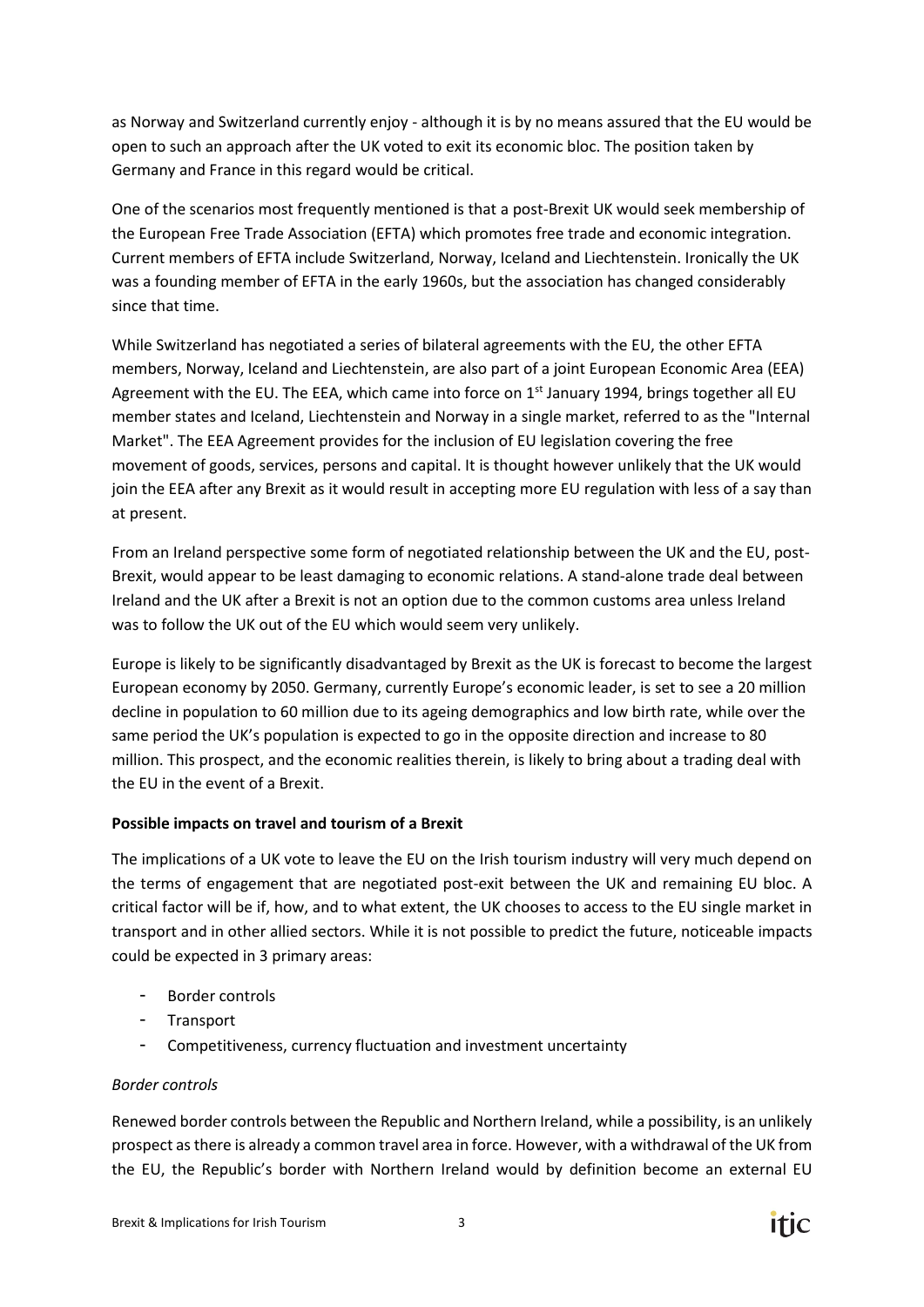as Norway and Switzerland currently enjoy - although it is by no means assured that the EU would be open to such an approach after the UK voted to exit its economic bloc. The position taken by Germany and France in this regard would be critical.

One of the scenarios most frequently mentioned is that a post-Brexit UK would seek membership of the European Free Trade Association (EFTA) which promotes free trade and economic integration. Current members of EFTA include Switzerland, Norway, Iceland and Liechtenstein. Ironically the UK was a founding member of EFTA in the early 1960s, but the association has changed considerably since that time.

While Switzerland has negotiated a series of bilateral agreements with the EU, the other EFTA members, Norway, Iceland and Liechtenstein, are also part of a joint European Economic Area (EEA) Agreement with the EU. The EEA, which came into force on 1<sup>st</sup> January 1994, brings together all EU member states and Iceland, Liechtenstein and Norway in a single market, referred to as the "Internal Market". The EEA Agreement provides for the inclusion of EU legislation covering the free movement of goods, services, persons and capital. It is thought however unlikely that the UK would join the EEA after any Brexit as it would result in accepting more EU regulation with less of a say than at present.

From an Ireland perspective some form of negotiated relationship between the UK and the EU, post-Brexit, would appear to be least damaging to economic relations. A stand-alone trade deal between Ireland and the UK after a Brexit is not an option due to the common customs area unless Ireland was to follow the UK out of the EU which would seem very unlikely.

Europe is likely to be significantly disadvantaged by Brexit as the UK is forecast to become the largest European economy by 2050. Germany, currently Europe's economic leader, is set to see a 20 million decline in population to 60 million due to its ageing demographics and low birth rate, while over the same period the UK's population is expected to go in the opposite direction and increase to 80 million. This prospect, and the economic realities therein, is likely to bring about a trading deal with the EU in the event of a Brexit.

### **Possible impacts on travel and tourism of a Brexit**

The implications of a UK vote to leave the EU on the Irish tourism industry will very much depend on the terms of engagement that are negotiated post-exit between the UK and remaining EU bloc. A critical factor will be if, how, and to what extent, the UK chooses to access to the EU single market in transport and in other allied sectors. While it is not possible to predict the future, noticeable impacts could be expected in 3 primary areas:

- Border controls
- Transport
- Competitiveness, currency fluctuation and investment uncertainty

### *Border controls*

Renewed border controls between the Republic and Northern Ireland, while a possibility, is an unlikely prospect as there is already a common travel area in force. However, with a withdrawal of the UK from the EU, the Republic's border with Northern Ireland would by definition become an external EU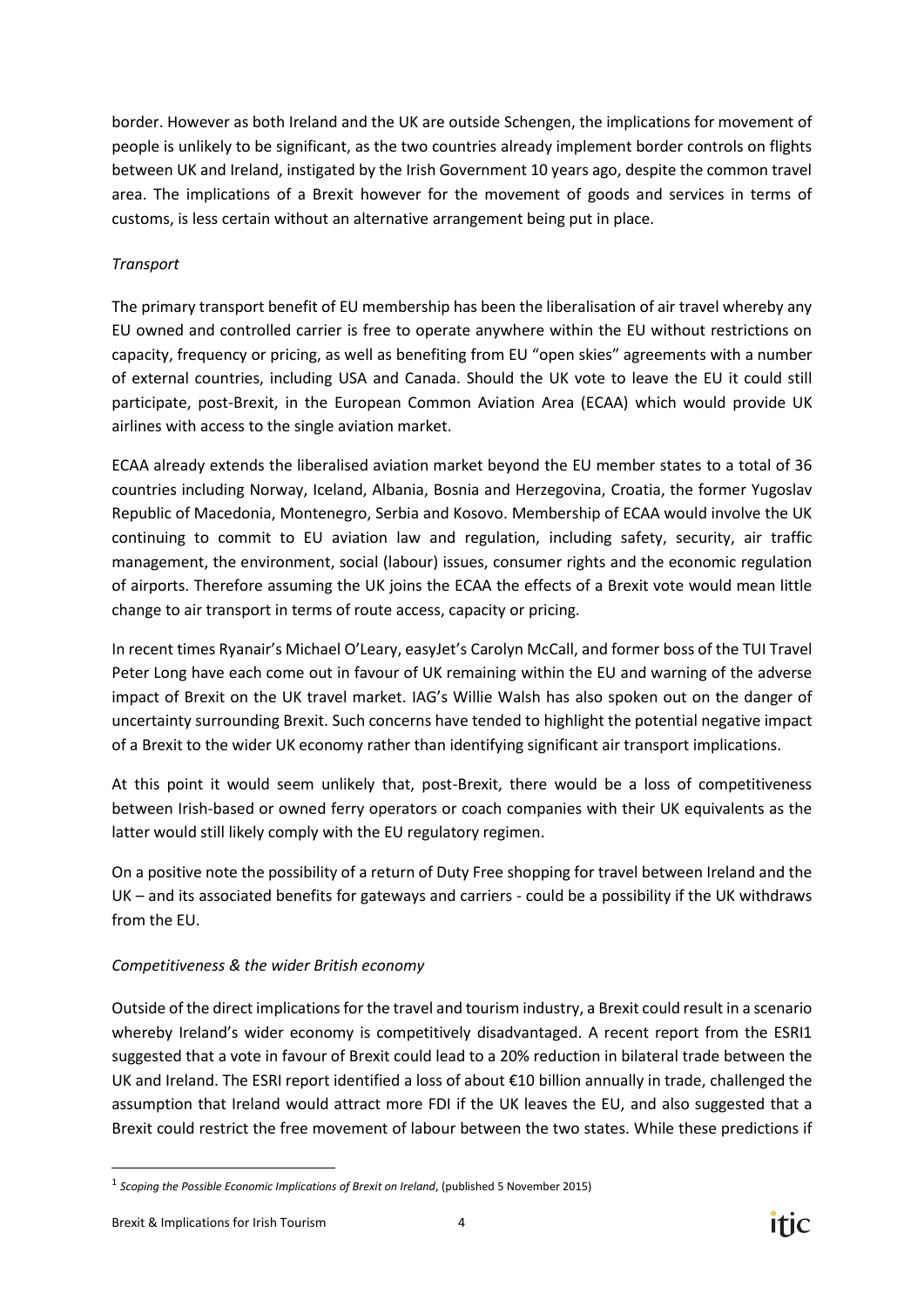border. However as both Ireland and the UK are outside Schengen, the implications for movement of people is unlikely to be significant, as the two countries already implement border controls on flights between UK and Ireland, instigated by the Irish Government 10 years ago, despite the common travel area. The implications of a Brexit however for the movement of goods and services in terms of customs, is less certain without an alternative arrangement being put in place.

## *Transport*

The primary transport benefit of EU membership has been the liberalisation of air travel whereby any EU owned and controlled carrier is free to operate anywhere within the EU without restrictions on [capacity,](http://centreforaviation.com/profiles/hot-issues/traffic-and-capacity) frequency or pricing, as well as benefiting from EU "open skies" agreements with a number of external countries, including USA and Canada. Should the UK vote to leave the EU it could still participate, post-Brexit, in the European Common Aviation Area (ECAA) which would provide UK airlines with access to the single aviation market.

ECAA already extends the liberalised aviation market beyond the EU member states to a total of 36 countries including Norway, [Iceland,](http://centreforaviation.com/profiles/countries/iceland) [Albania,](http://centreforaviation.com/profiles/countries/albania) [Bosnia and Herzegovina,](http://centreforaviation.com/profiles/countries/bosnia-and-herzegovina) [Croatia,](http://centreforaviation.com/profiles/countries/croatia) the former Yugoslav Republic of [Macedonia,](http://centreforaviation.com/profiles/countries/macedonia-fyrom) [Montenegro,](http://centreforaviation.com/profiles/countries/montenegro) [Serbia](http://centreforaviation.com/profiles/countries/serbia) and [Kosovo.](http://centreforaviation.com/profiles/countries/kosovo) Membership of ECAA would involve the UK continuing to commit to EU aviation law and regulation, including safety, [security,](http://centreforaviation.com/profiles/hot-issues/security-safety--insurance) [air traffic](http://centreforaviation.com/profiles/hot-issues/air-traffic-management)  [management,](http://centreforaviation.com/profiles/hot-issues/air-traffic-management) the [environment,](http://centreforaviation.com/profiles/hot-issues/environment) social (labour) issues, consumer rights and the economic regulation of airports. Therefore assuming the UK joins the ECAA the effects of a Brexit vote would mean little change to air transport in terms of route access, capacity or pricing.

In recent times Ryanair's Michael O'Leary, easyJet's Carolyn McCall, and former boss of the TUI Travel Peter Long have each come out in favour of UK remaining within the EU and warning of the adverse impact of Brexit on the UK travel market. IAG's Willie Walsh has also spoken out on the danger of uncertainty surrounding Brexit. Such concerns have tended to highlight the potential negative impact of a Brexit to the wider UK economy rather than identifying significant air transport implications.

At this point it would seem unlikely that, post-Brexit, there would be a loss of competitiveness between Irish-based or owned ferry operators or coach companies with their UK equivalents as the latter would still likely comply with the EU regulatory regimen.

On a positive note the possibility of a return of Duty Free shopping for travel between Ireland and the UK – and its associated benefits for gateways and carriers - could be a possibility if the UK withdraws from the EU.

# *Competitiveness & the wider British economy*

Outside of the direct implications for the travel and tourism industry, a Brexit could result in a scenario whereby Ireland's wider economy is competitively disadvantaged. A recent report from the ESRI1 suggested that a vote in favour of Brexit could lead to a 20% reduction in bilateral trade between the UK and Ireland. The ESRI report identified a loss of about €10 billion annually in trade, challenged the assumption that Ireland would attract more FDI if the UK leaves the EU, and also suggested that a Brexit could restrict the free movement of labour between the two states. While these predictions if

**.** 



<sup>1</sup> *Scoping the Possible Economic Implications of Brexit on Ireland*, (published 5 November 2015)